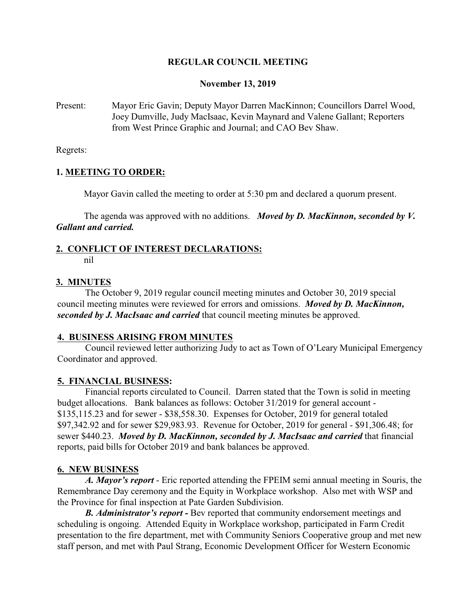## **REGULAR COUNCIL MEETING**

#### **November 13, 2019**

Present: Mayor Eric Gavin; Deputy Mayor Darren MacKinnon; Councillors Darrel Wood, Joey Dumville, Judy MacIsaac, Kevin Maynard and Valene Gallant; Reporters from West Prince Graphic and Journal; and CAO Bev Shaw.

Regrets:

## **1. MEETING TO ORDER:**

Mayor Gavin called the meeting to order at 5:30 pm and declared a quorum present.

The agenda was approved with no additions. *Moved by D. MacKinnon, seconded by V. Gallant and carried.*

## **2. CONFLICT OF INTEREST DECLARATIONS:**

nil

### **3. MINUTES**

The October 9, 2019 regular council meeting minutes and October 30, 2019 special council meeting minutes were reviewed for errors and omissions. *Moved by D. MacKinnon, seconded by J. MacIsaac and carried* that council meeting minutes be approved.

### **4. BUSINESS ARISING FROM MINUTES**

Council reviewed letter authorizing Judy to act as Town of O'Leary Municipal Emergency Coordinator and approved.

### **5. FINANCIAL BUSINESS:**

Financial reports circulated to Council. Darren stated that the Town is solid in meeting budget allocations. Bank balances as follows: October 31/2019 for general account - \$135,115.23 and for sewer - \$38,558.30. Expenses for October, 2019 for general totaled \$97,342.92 and for sewer \$29,983.93. Revenue for October, 2019 for general - \$91,306.48; for sewer \$440.23. *Moved by D. MacKinnon, seconded by J. MacIsaac and carried* that financial reports, paid bills for October 2019 and bank balances be approved.

### **6. NEW BUSINESS**

*A. Mayor's report* - Eric reported attending the FPEIM semi annual meeting in Souris, the Remembrance Day ceremony and the Equity in Workplace workshop. Also met with WSP and the Province for final inspection at Pate Garden Subdivision.

*B. Administrator's report -* Bev reported that community endorsement meetings and scheduling is ongoing. Attended Equity in Workplace workshop, participated in Farm Credit presentation to the fire department, met with Community Seniors Cooperative group and met new staff person, and met with Paul Strang, Economic Development Officer for Western Economic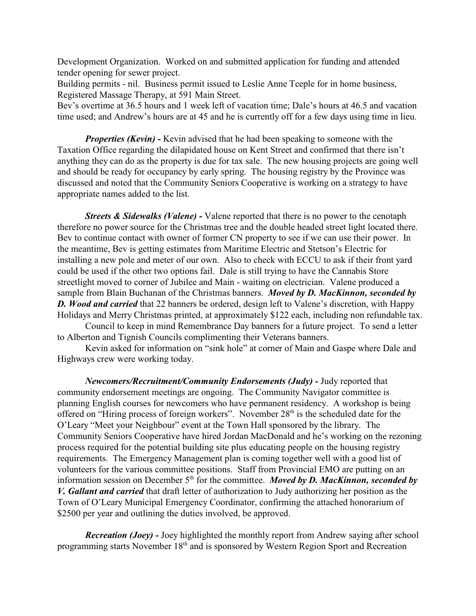Development Organization. Worked on and submitted application for funding and attended tender opening for sewer project.

Building permits - nil. Business permit issued to Leslie Anne Teeple for in home business, Registered Massage Therapy, at 591 Main Street.

Bev's overtime at 36.5 hours and 1 week left of vacation time; Dale's hours at 46.5 and vacation time used; and Andrew's hours are at 45 and he is currently off for a few days using time in lieu.

*Properties (Kevin)* - Kevin advised that he had been speaking to someone with the Taxation Office regarding the dilapidated house on Kent Street and confirmed that there isn't anything they can do as the property is due for tax sale. The new housing projects are going well and should be ready for occupancy by early spring. The housing registry by the Province was discussed and noted that the Community Seniors Cooperative is working on a strategy to have appropriate names added to the list.

*Streets & Sidewalks (Valene) -* Valene reported that there is no power to the cenotaph therefore no power source for the Christmas tree and the double headed street light located there. Bev to continue contact with owner of former CN property to see if we can use their power. In the meantime, Bev is getting estimates from Maritime Electric and Stetson's Electric for installing a new pole and meter of our own. Also to check with ECCU to ask if their front yard could be used if the other two options fail. Dale is still trying to have the Cannabis Store streetlight moved to corner of Jubilee and Main - waiting on electrician. Valene produced a sample from Blain Buchanan of the Christmas banners. *Moved by D. MacKinnon, seconded by D. Wood and carried* that 22 banners be ordered, design left to Valene's discretion, with Happy Holidays and Merry Christmas printed, at approximately \$122 each, including non refundable tax.

Council to keep in mind Remembrance Day banners for a future project. To send a letter to Alberton and Tignish Councils complimenting their Veterans banners.

Kevin asked for information on "sink hole" at corner of Main and Gaspe where Dale and Highways crew were working today.

*Newcomers/Recruitment/Community Endorsements (Judy)* - Judy reported that community endorsement meetings are ongoing. The Community Navigator committee is planning English courses for newcomers who have permanent residency. A workshop is being offered on "Hiring process of foreign workers". November 28<sup>th</sup> is the scheduled date for the O'Leary "Meet your Neighbour" event at the Town Hall sponsored by the library. The Community Seniors Cooperative have hired Jordan MacDonald and he's working on the rezoning process required for the potential building site plus educating people on the housing registry requirements. The Emergency Management plan is coming together well with a good list of volunteers for the various committee positions. Staff from Provincial EMO are putting on an information session on December 5<sup>th</sup> for the committee. *Moved by D. MacKinnon, seconded by V. Gallant and carried* that draft letter of authorization to Judy authorizing her position as the Town of O'Leary Municipal Emergency Coordinator, confirming the attached honorarium of \$2500 per year and outlining the duties involved, be approved.

*Recreation (Joey)* - Joey highlighted the monthly report from Andrew saying after school programming starts November 18<sup>th</sup> and is sponsored by Western Region Sport and Recreation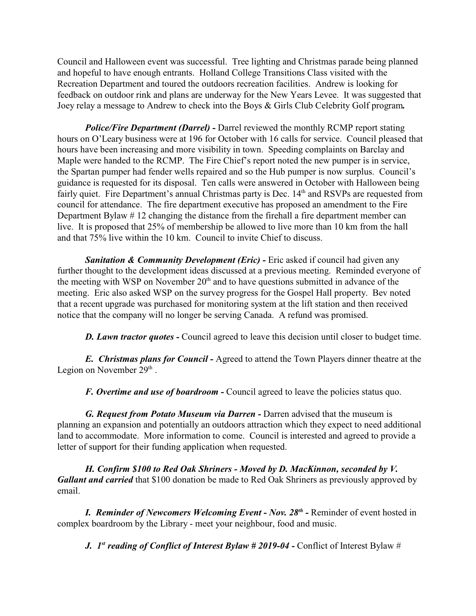Council and Halloween event was successful. Tree lighting and Christmas parade being planned and hopeful to have enough entrants. Holland College Transitions Class visited with the Recreation Department and toured the outdoors recreation facilities. Andrew is looking for feedback on outdoor rink and plans are underway for the New Years Levee. It was suggested that Joey relay a message to Andrew to check into the Boys & Girls Club Celebrity Golf program*.*

*Police/Fire Department (Darrel) -* Darrel reviewed the monthly RCMP report stating hours on O'Leary business were at 196 for October with 16 calls for service. Council pleased that hours have been increasing and more visibility in town. Speeding complaints on Barclay and Maple were handed to the RCMP. The Fire Chief's report noted the new pumper is in service, the Spartan pumper had fender wells repaired and so the Hub pumper is now surplus. Council's guidance is requested for its disposal. Ten calls were answered in October with Halloween being fairly quiet. Fire Department's annual Christmas party is Dec. 14<sup>th</sup> and RSVPs are requested from council for attendance. The fire department executive has proposed an amendment to the Fire Department Bylaw # 12 changing the distance from the firehall a fire department member can live. It is proposed that 25% of membership be allowed to live more than 10 km from the hall and that 75% live within the 10 km. Council to invite Chief to discuss.

*Sanitation & Community Development (Eric)* - Eric asked if council had given any further thought to the development ideas discussed at a previous meeting. Reminded everyone of the meeting with WSP on November  $20<sup>th</sup>$  and to have questions submitted in advance of the meeting. Eric also asked WSP on the survey progress for the Gospel Hall property. Bev noted that a recent upgrade was purchased for monitoring system at the lift station and then received notice that the company will no longer be serving Canada. A refund was promised.

**D.** Lawn tractor quotes - Council agreed to leave this decision until closer to budget time.

*E. Christmas plans for Council -* Agreed to attend the Town Players dinner theatre at the Legion on November  $29<sup>th</sup>$ .

*F. Overtime and use of boardroom -* Council agreed to leave the policies status quo.

*G. Request from Potato Museum via Darren -* Darren advised that the museum is planning an expansion and potentially an outdoors attraction which they expect to need additional land to accommodate. More information to come. Council is interested and agreed to provide a letter of support for their funding application when requested.

*H. Confirm \$100 to Red Oak Shriners - Moved by D. MacKinnon, seconded by V. Gallant and carried* that \$100 donation be made to Red Oak Shriners as previously approved by email.

*I. Reminder of Newcomers Welcoming Event - Nov. 28th -* Reminder of event hosted in complex boardroom by the Library - meet your neighbour, food and music.

*J. 1st reading of Conflict of Interest Bylaw # 2019-04 -* Conflict of Interest Bylaw #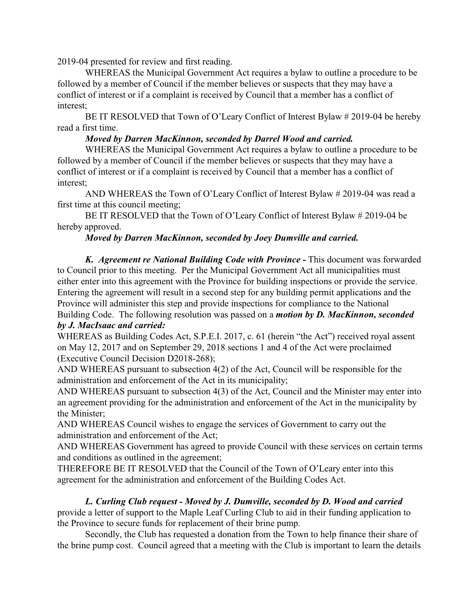2019-04 presented for review and first reading.

WHEREAS the Municipal Government Act requires a bylaw to outline a procedure to be followed by a member of Council if the member believes or suspects that they may have a conflict of interest or if a complaint is received by Council that a member has a conflict of interest;

BE IT RESOLVED that Town of O'Leary Conflict of Interest Bylaw # 2019-04 be hereby read a first time.

## *Moved by Darren MacKinnon, seconded by Darrel Wood and carried.*

WHEREAS the Municipal Government Act requires a bylaw to outline a procedure to be followed by a member of Council if the member believes or suspects that they may have a conflict of interest or if a complaint is received by Council that a member has a conflict of interest;

AND WHEREAS the Town of O'Leary Conflict of Interest Bylaw # 2019-04 was read a first time at this council meeting;

BE IT RESOLVED that the Town of O'Leary Conflict of Interest Bylaw # 2019-04 be hereby approved.

# *Moved by Darren MacKinnon, seconded by Joey Dumville and carried.*

**K.** Agreement re National Building Code with Province - This document was forwarded to Council prior to this meeting. Per the Municipal Government Act all municipalities must either enter into this agreement with the Province for building inspections or provide the service. Entering the agreement will result in a second step for any building permit applications and the Province will administer this step and provide inspections for compliance to the National Building Code. The following resolution was passed on a *motion by D. MacKinnon, seconded*

# *by J. MacIsaac and carried:*

WHEREAS as Building Codes Act, S.P.E.I. 2017, c. 61 (herein "the Act") received royal assent on May 12, 2017 and on September 29, 2018 sections 1 and 4 of the Act were proclaimed (Executive Council Decision D2018-268);

AND WHEREAS pursuant to subsection 4(2) of the Act, Council will be responsible for the administration and enforcement of the Act in its municipality;

AND WHEREAS pursuant to subsection 4(3) of the Act, Council and the Minister may enter into an agreement providing for the administration and enforcement of the Act in the municipality by the Minister;

AND WHEREAS Council wishes to engage the services of Government to carry out the administration and enforcement of the Act;

AND WHEREAS Government has agreed to provide Council with these services on certain terms and conditions as outlined in the agreement;

THEREFORE BE IT RESOLVED that the Council of the Town of O'Leary enter into this agreement for the administration and enforcement of the Building Codes Act.

### *L. Curling Club request - Moved by J. Dumville, seconded by D. Wood and carried* provide a letter of support to the Maple Leaf Curling Club to aid in their funding application to the Province to secure funds for replacement of their brine pump.

Secondly, the Club has requested a donation from the Town to help finance their share of the brine pump cost. Council agreed that a meeting with the Club is important to learn the details